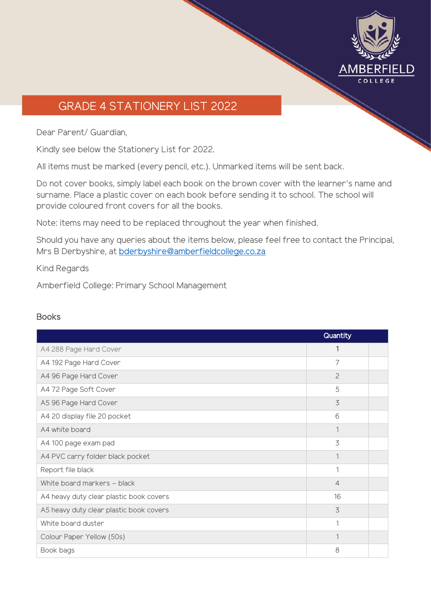

## GRADE 4 STATIONERY LIST 2022

Dear Parent/ Guardian,

Kindly see below the Stationery List for 2022.

All items must be marked (every pencil, etc.). Unmarked items will be sent back.

Do not cover books, simply label each book on the brown cover with the learner's name and surname. Place a plastic cover on each book before sending it to school. The school will provide coloured front covers for all the books.

Note: items may need to be replaced throughout the year when finished.

Should you have any queries about the items below, please feel free to contact the Principal, Mrs B Derbyshire, at [bderbyshire@amberfieldcollege.co.za](mailto:bderbyshire@amberfieldcollege.co.za)

Kind Regards

Amberfield College: Primary School Management

## **Books**

|                                         | Quantity       |  |
|-----------------------------------------|----------------|--|
| A4 288 Page Hard Cover                  | 1              |  |
| A4 192 Page Hard Cover                  | 7              |  |
| A4 96 Page Hard Cover                   | $\overline{c}$ |  |
| A4 72 Page Soft Cover                   | 5              |  |
| A5 96 Page Hard Cover                   | 3              |  |
| A4 20 display file 20 pocket            | 6              |  |
| A4 white board                          |                |  |
| A4 100 page exam pad                    | 3              |  |
| A4 PVC carry folder black pocket        | 1              |  |
| Report file black                       | 1              |  |
| White board markers - black             | $\overline{4}$ |  |
| A4 heavy duty clear plastic book covers | 16             |  |
| A5 heavy duty clear plastic book covers | 3              |  |
| White board duster                      | 1              |  |
| Colour Paper Yellow (50s)               | 1              |  |
| Book bags                               | 8              |  |